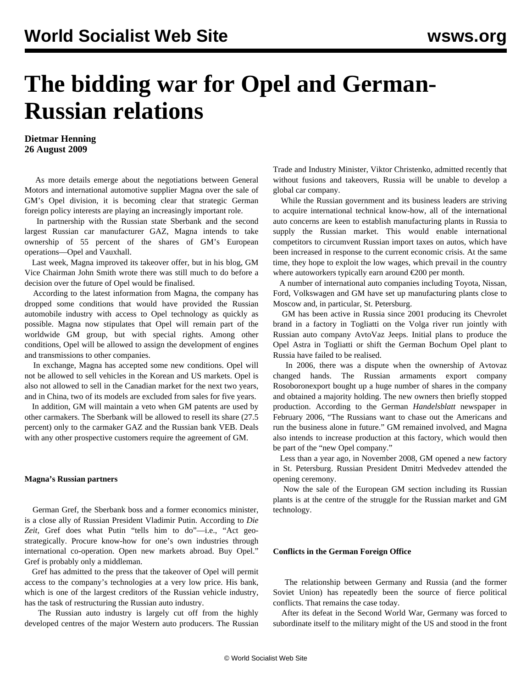# **The bidding war for Opel and German-Russian relations**

### **Dietmar Henning 26 August 2009**

 As more details emerge about the negotiations between General Motors and international automotive supplier Magna over the sale of GM's Opel division, it is becoming clear that strategic German foreign policy interests are playing an increasingly important role.

 In partnership with the Russian state Sberbank and the second largest Russian car manufacturer GAZ, Magna intends to take ownership of 55 percent of the shares of GM's European operations—Opel and Vauxhall.

 Last week, Magna improved its takeover offer, but in his blog, GM Vice Chairman John Smith wrote there was still much to do before a decision over the future of Opel would be finalised.

 According to the latest information from Magna, the company has dropped some conditions that would have provided the Russian automobile industry with access to Opel technology as quickly as possible. Magna now stipulates that Opel will remain part of the worldwide GM group, but with special rights. Among other conditions, Opel will be allowed to assign the development of engines and transmissions to other companies.

 In exchange, Magna has accepted some new conditions. Opel will not be allowed to sell vehicles in the Korean and US markets. Opel is also not allowed to sell in the Canadian market for the next two years, and in China, two of its models are excluded from sales for five years.

 In addition, GM will maintain a veto when GM patents are used by other carmakers. The Sberbank will be allowed to resell its share (27.5 percent) only to the carmaker GAZ and the Russian bank VEB. Deals with any other prospective customers require the agreement of GM.

#### **Magna's Russian partners**

 German Gref, the Sberbank boss and a former economics minister, is a close ally of Russian President Vladimir Putin. According to *Die* Zeit, Gref does what Putin "tells him to do"-i.e., "Act geostrategically. Procure know-how for one's own industries through international co-operation. Open new markets abroad. Buy Opel." Gref is probably only a middleman.

 Gref has admitted to the press that the takeover of Opel will permit access to the company's technologies at a very low price. His bank, which is one of the largest creditors of the Russian vehicle industry, has the task of restructuring the Russian auto industry.

 The Russian auto industry is largely cut off from the highly developed centres of the major Western auto producers. The Russian Trade and Industry Minister, Viktor Christenko, admitted recently that without fusions and takeovers, Russia will be unable to develop a global car company.

 While the Russian government and its business leaders are striving to acquire international technical know-how, all of the international auto concerns are keen to establish manufacturing plants in Russia to supply the Russian market. This would enable international competitors to circumvent Russian import taxes on autos, which have been increased in response to the current economic crisis. At the same time, they hope to exploit the low wages, which prevail in the country where autoworkers typically earn around  $\epsilon$ 200 per month.

 A number of international auto companies including Toyota, Nissan, Ford, Volkswagen and GM have set up manufacturing plants close to Moscow and, in particular, St. Petersburg.

 GM has been active in Russia since 2001 producing its Chevrolet brand in a factory in Togliatti on the Volga river run jointly with Russian auto company AvtoVaz Jeeps. Initial plans to produce the Opel Astra in Togliatti or shift the German Bochum Opel plant to Russia have failed to be realised.

 In 2006, there was a dispute when the ownership of Avtovaz changed hands. The Russian armaments export company Rosoboronexport bought up a huge number of shares in the company and obtained a majority holding. The new owners then briefly stopped production. According to the German *Handelsblatt* newspaper in February 2006, "The Russians want to chase out the Americans and run the business alone in future." GM remained involved, and Magna also intends to increase production at this factory, which would then be part of the "new Opel company."

 Less than a year ago, in November 2008, GM opened a new factory in St. Petersburg. Russian President Dmitri Medvedev attended the opening ceremony.

 Now the sale of the European GM section including its Russian plants is at the centre of the struggle for the Russian market and GM technology.

#### **Conflicts in the German Foreign Office**

 The relationship between Germany and Russia (and the former Soviet Union) has repeatedly been the source of fierce political conflicts. That remains the case today.

 After its defeat in the Second World War, Germany was forced to subordinate itself to the military might of the US and stood in the front